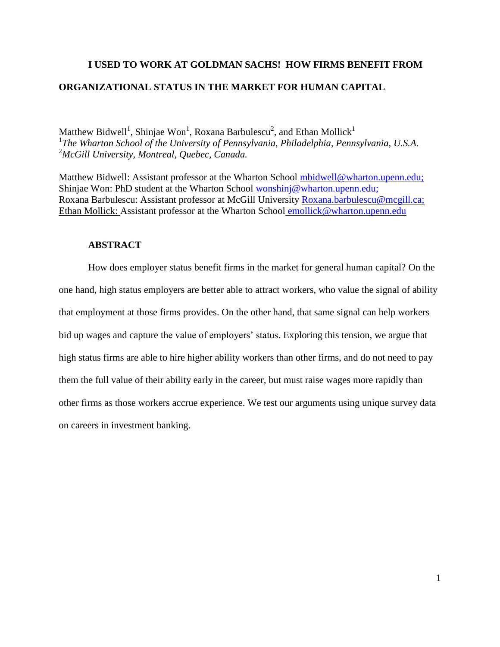# **I USED TO WORK AT GOLDMAN SACHS! HOW FIRMS BENEFIT FROM ORGANIZATIONAL STATUS IN THE MARKET FOR HUMAN CAPITAL**

Matthew Bidwell<sup>1</sup>, Shinjae Won<sup>1</sup>, Roxana Barbulescu<sup>2</sup>, and Ethan Mollick<sup>1</sup> 1 *The Wharton School of the University of Pennsylvania, Philadelphia, Pennsylvania, U.S.A.* <sup>2</sup>*McGill University, Montreal, Quebec, Canada.*

Matthew Bidwell: Assistant professor at the Wharton School [mbidwell@wharton.upenn.edu;](mailto:mbidwell@wharton.upenn.edu) Shinjae Won: PhD student at the Wharton School [wonshinj@wharton.upenn.edu;](mailto:wonshinj@wharton.upenn.edu) Roxana Barbulescu: Assistant professor at McGill University [Roxana.barbulescu@mcgill.ca;](mailto:Roxana.barbulescu@mcgill.ca) Ethan Mollick: Assistant professor at the Wharton School [emollick@wharton.upenn.edu](mailto:emollick@wharton.upenn.edu)

# **ABSTRACT**

How does employer status benefit firms in the market for general human capital? On the one hand, high status employers are better able to attract workers, who value the signal of ability that employment at those firms provides. On the other hand, that same signal can help workers bid up wages and capture the value of employers' status. Exploring this tension, we argue that high status firms are able to hire higher ability workers than other firms, and do not need to pay them the full value of their ability early in the career, but must raise wages more rapidly than other firms as those workers accrue experience. We test our arguments using unique survey data on careers in investment banking.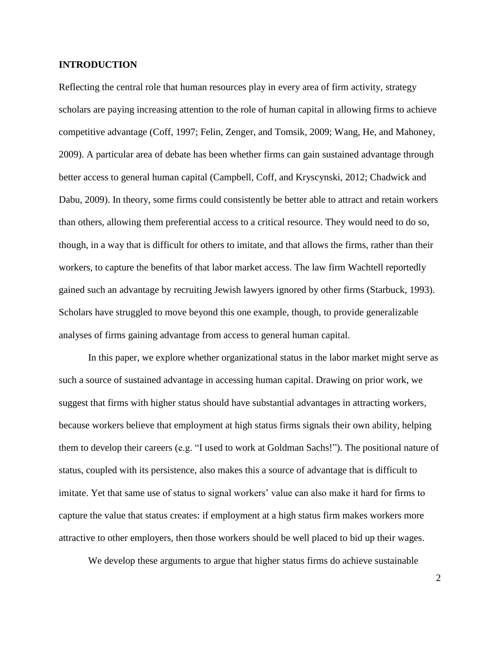# **INTRODUCTION**

Reflecting the central role that human resources play in every area of firm activity, strategy scholars are paying increasing attention to the role of human capital in allowing firms to achieve competitive advantage (Coff, 1997; Felin, Zenger, and Tomsik, 2009; Wang, He, and Mahoney, 2009). A particular area of debate has been whether firms can gain sustained advantage through better access to general human capital (Campbell, Coff, and Kryscynski, 2012; Chadwick and Dabu, 2009). In theory, some firms could consistently be better able to attract and retain workers than others, allowing them preferential access to a critical resource. They would need to do so, though, in a way that is difficult for others to imitate, and that allows the firms, rather than their workers, to capture the benefits of that labor market access. The law firm Wachtell reportedly gained such an advantage by recruiting Jewish lawyers ignored by other firms (Starbuck, 1993). Scholars have struggled to move beyond this one example, though, to provide generalizable analyses of firms gaining advantage from access to general human capital.

In this paper, we explore whether organizational status in the labor market might serve as such a source of sustained advantage in accessing human capital. Drawing on prior work, we suggest that firms with higher status should have substantial advantages in attracting workers, because workers believe that employment at high status firms signals their own ability, helping them to develop their careers (e.g. "I used to work at Goldman Sachs!"). The positional nature of status, coupled with its persistence, also makes this a source of advantage that is difficult to imitate. Yet that same use of status to signal workers' value can also make it hard for firms to capture the value that status creates: if employment at a high status firm makes workers more attractive to other employers, then those workers should be well placed to bid up their wages.

We develop these arguments to argue that higher status firms do achieve sustainable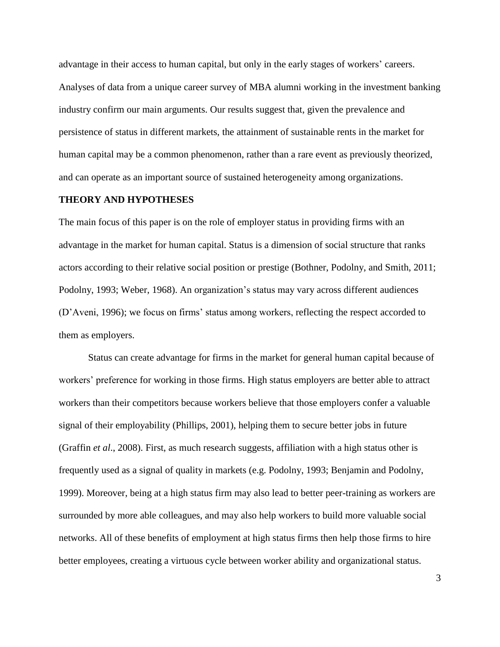advantage in their access to human capital, but only in the early stages of workers' careers. Analyses of data from a unique career survey of MBA alumni working in the investment banking industry confirm our main arguments. Our results suggest that, given the prevalence and persistence of status in different markets, the attainment of sustainable rents in the market for human capital may be a common phenomenon, rather than a rare event as previously theorized, and can operate as an important source of sustained heterogeneity among organizations.

# **THEORY AND HYPOTHESES**

The main focus of this paper is on the role of employer status in providing firms with an advantage in the market for human capital. Status is a dimension of social structure that ranks actors according to their relative social position or prestige (Bothner, Podolny, and Smith, 2011; Podolny, 1993; Weber, 1968). An organization's status may vary across different audiences (D'Aveni, 1996); we focus on firms' status among workers, reflecting the respect accorded to them as employers.

Status can create advantage for firms in the market for general human capital because of workers' preference for working in those firms. High status employers are better able to attract workers than their competitors because workers believe that those employers confer a valuable signal of their employability (Phillips, 2001), helping them to secure better jobs in future (Graffin *et al*., 2008). First, as much research suggests, affiliation with a high status other is frequently used as a signal of quality in markets (e.g. Podolny, 1993; Benjamin and Podolny, 1999). Moreover, being at a high status firm may also lead to better peer-training as workers are surrounded by more able colleagues, and may also help workers to build more valuable social networks. All of these benefits of employment at high status firms then help those firms to hire better employees, creating a virtuous cycle between worker ability and organizational status.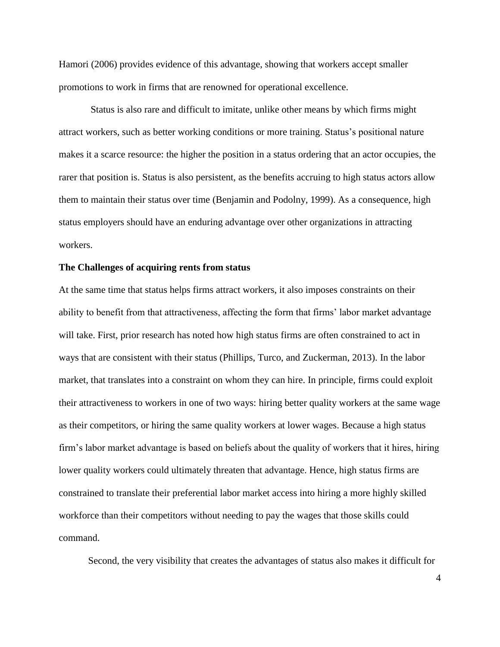Hamori (2006) provides evidence of this advantage, showing that workers accept smaller promotions to work in firms that are renowned for operational excellence.

Status is also rare and difficult to imitate, unlike other means by which firms might attract workers, such as better working conditions or more training. Status's positional nature makes it a scarce resource: the higher the position in a status ordering that an actor occupies, the rarer that position is. Status is also persistent, as the benefits accruing to high status actors allow them to maintain their status over time (Benjamin and Podolny, 1999). As a consequence, high status employers should have an enduring advantage over other organizations in attracting workers.

# **The Challenges of acquiring rents from status**

At the same time that status helps firms attract workers, it also imposes constraints on their ability to benefit from that attractiveness, affecting the form that firms' labor market advantage will take. First, prior research has noted how high status firms are often constrained to act in ways that are consistent with their status (Phillips, Turco, and Zuckerman, 2013). In the labor market, that translates into a constraint on whom they can hire. In principle, firms could exploit their attractiveness to workers in one of two ways: hiring better quality workers at the same wage as their competitors, or hiring the same quality workers at lower wages. Because a high status firm's labor market advantage is based on beliefs about the quality of workers that it hires, hiring lower quality workers could ultimately threaten that advantage. Hence, high status firms are constrained to translate their preferential labor market access into hiring a more highly skilled workforce than their competitors without needing to pay the wages that those skills could command.

Second, the very visibility that creates the advantages of status also makes it difficult for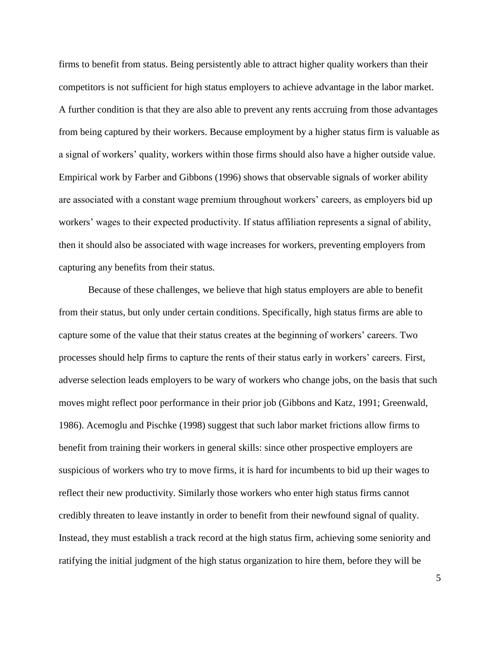firms to benefit from status. Being persistently able to attract higher quality workers than their competitors is not sufficient for high status employers to achieve advantage in the labor market. A further condition is that they are also able to prevent any rents accruing from those advantages from being captured by their workers. Because employment by a higher status firm is valuable as a signal of workers' quality, workers within those firms should also have a higher outside value. Empirical work by Farber and Gibbons (1996) shows that observable signals of worker ability are associated with a constant wage premium throughout workers' careers, as employers bid up workers' wages to their expected productivity. If status affiliation represents a signal of ability, then it should also be associated with wage increases for workers, preventing employers from capturing any benefits from their status.

Because of these challenges, we believe that high status employers are able to benefit from their status, but only under certain conditions. Specifically, high status firms are able to capture some of the value that their status creates at the beginning of workers' careers. Two processes should help firms to capture the rents of their status early in workers' careers. First, adverse selection leads employers to be wary of workers who change jobs, on the basis that such moves might reflect poor performance in their prior job (Gibbons and Katz, 1991; Greenwald, 1986). Acemoglu and Pischke (1998) suggest that such labor market frictions allow firms to benefit from training their workers in general skills: since other prospective employers are suspicious of workers who try to move firms, it is hard for incumbents to bid up their wages to reflect their new productivity. Similarly those workers who enter high status firms cannot credibly threaten to leave instantly in order to benefit from their newfound signal of quality. Instead, they must establish a track record at the high status firm, achieving some seniority and ratifying the initial judgment of the high status organization to hire them, before they will be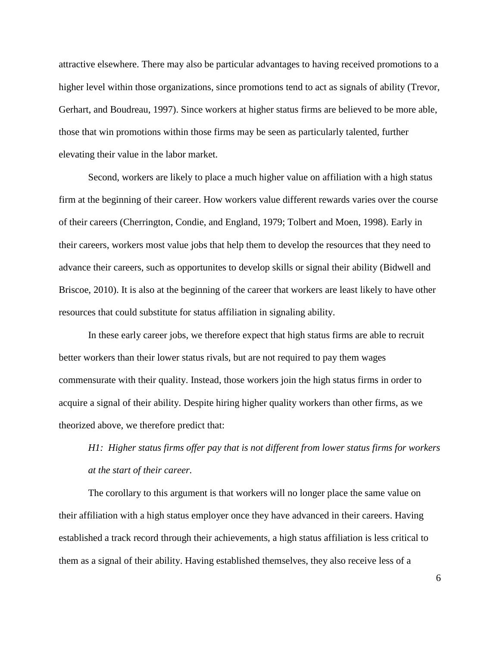attractive elsewhere. There may also be particular advantages to having received promotions to a higher level within those organizations, since promotions tend to act as signals of ability (Trevor, Gerhart, and Boudreau, 1997). Since workers at higher status firms are believed to be more able, those that win promotions within those firms may be seen as particularly talented, further elevating their value in the labor market.

Second, workers are likely to place a much higher value on affiliation with a high status firm at the beginning of their career. How workers value different rewards varies over the course of their careers (Cherrington, Condie, and England, 1979; Tolbert and Moen, 1998). Early in their careers, workers most value jobs that help them to develop the resources that they need to advance their careers, such as opportunites to develop skills or signal their ability (Bidwell and Briscoe, 2010). It is also at the beginning of the career that workers are least likely to have other resources that could substitute for status affiliation in signaling ability.

In these early career jobs, we therefore expect that high status firms are able to recruit better workers than their lower status rivals, but are not required to pay them wages commensurate with their quality. Instead, those workers join the high status firms in order to acquire a signal of their ability. Despite hiring higher quality workers than other firms, as we theorized above, we therefore predict that:

*H1: Higher status firms offer pay that is not different from lower status firms for workers at the start of their career.*

The corollary to this argument is that workers will no longer place the same value on their affiliation with a high status employer once they have advanced in their careers. Having established a track record through their achievements, a high status affiliation is less critical to them as a signal of their ability. Having established themselves, they also receive less of a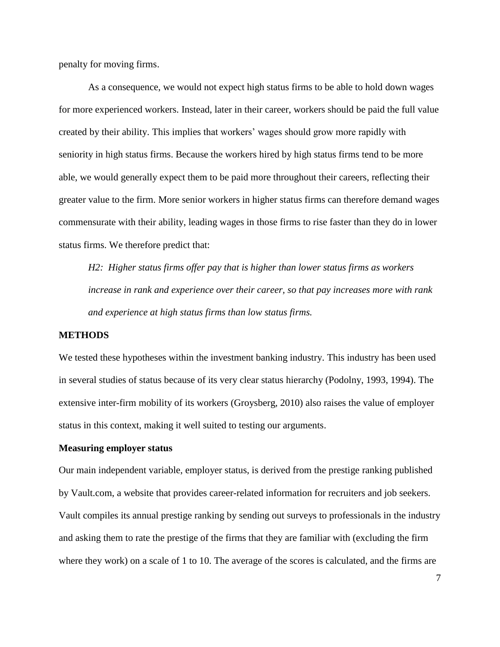penalty for moving firms.

As a consequence, we would not expect high status firms to be able to hold down wages for more experienced workers. Instead, later in their career, workers should be paid the full value created by their ability. This implies that workers' wages should grow more rapidly with seniority in high status firms. Because the workers hired by high status firms tend to be more able, we would generally expect them to be paid more throughout their careers, reflecting their greater value to the firm. More senior workers in higher status firms can therefore demand wages commensurate with their ability, leading wages in those firms to rise faster than they do in lower status firms. We therefore predict that:

*H2: Higher status firms offer pay that is higher than lower status firms as workers increase in rank and experience over their career, so that pay increases more with rank and experience at high status firms than low status firms.*

# **METHODS**

We tested these hypotheses within the investment banking industry. This industry has been used in several studies of status because of its very clear status hierarchy (Podolny, 1993, 1994). The extensive inter-firm mobility of its workers (Groysberg, 2010) also raises the value of employer status in this context, making it well suited to testing our arguments.

### **Measuring employer status**

Our main independent variable, employer status, is derived from the prestige ranking published by Vault.com, a website that provides career-related information for recruiters and job seekers. Vault compiles its annual prestige ranking by sending out surveys to professionals in the industry and asking them to rate the prestige of the firms that they are familiar with (excluding the firm where they work) on a scale of 1 to 10. The average of the scores is calculated, and the firms are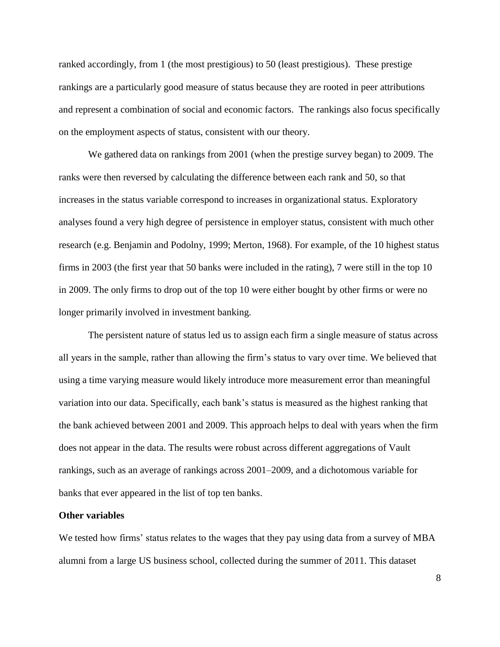ranked accordingly, from 1 (the most prestigious) to 50 (least prestigious). These prestige rankings are a particularly good measure of status because they are rooted in peer attributions and represent a combination of social and economic factors. The rankings also focus specifically on the employment aspects of status, consistent with our theory.

We gathered data on rankings from 2001 (when the prestige survey began) to 2009. The ranks were then reversed by calculating the difference between each rank and 50, so that increases in the status variable correspond to increases in organizational status. Exploratory analyses found a very high degree of persistence in employer status, consistent with much other research (e.g. Benjamin and Podolny, 1999; Merton, 1968). For example, of the 10 highest status firms in 2003 (the first year that 50 banks were included in the rating), 7 were still in the top 10 in 2009. The only firms to drop out of the top 10 were either bought by other firms or were no longer primarily involved in investment banking.

The persistent nature of status led us to assign each firm a single measure of status across all years in the sample, rather than allowing the firm's status to vary over time. We believed that using a time varying measure would likely introduce more measurement error than meaningful variation into our data. Specifically, each bank's status is measured as the highest ranking that the bank achieved between 2001 and 2009. This approach helps to deal with years when the firm does not appear in the data. The results were robust across different aggregations of Vault rankings, such as an average of rankings across 2001–2009, and a dichotomous variable for banks that ever appeared in the list of top ten banks.

# **Other variables**

We tested how firms' status relates to the wages that they pay using data from a survey of MBA alumni from a large US business school, collected during the summer of 2011. This dataset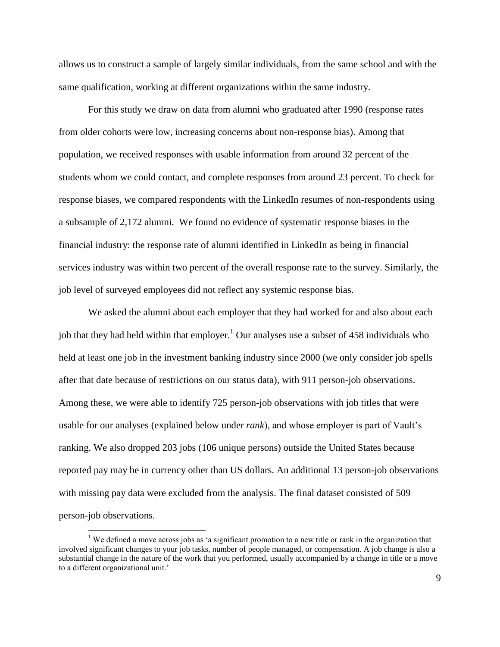allows us to construct a sample of largely similar individuals, from the same school and with the same qualification, working at different organizations within the same industry.

For this study we draw on data from alumni who graduated after 1990 (response rates from older cohorts were low, increasing concerns about non-response bias). Among that population, we received responses with usable information from around 32 percent of the students whom we could contact, and complete responses from around 23 percent. To check for response biases, we compared respondents with the LinkedIn resumes of non-respondents using a subsample of 2,172 alumni. We found no evidence of systematic response biases in the financial industry: the response rate of alumni identified in LinkedIn as being in financial services industry was within two percent of the overall response rate to the survey. Similarly, the job level of surveyed employees did not reflect any systemic response bias.

We asked the alumni about each employer that they had worked for and also about each job that they had held within that employer.<sup>1</sup> Our analyses use a subset of 458 individuals who held at least one job in the investment banking industry since 2000 (we only consider job spells after that date because of restrictions on our status data), with 911 person-job observations. Among these, we were able to identify 725 person-job observations with job titles that were usable for our analyses (explained below under *rank*), and whose employer is part of Vault's ranking. We also dropped 203 jobs (106 unique persons) outside the United States because reported pay may be in currency other than US dollars. An additional 13 person-job observations with missing pay data were excluded from the analysis. The final dataset consisted of 509 person-job observations.

 $\overline{a}$ 

<sup>&</sup>lt;sup>1</sup> We defined a move across jobs as 'a significant promotion to a new title or rank in the organization that involved significant changes to your job tasks, number of people managed, or compensation. A job change is also a substantial change in the nature of the work that you performed, usually accompanied by a change in title or a move to a different organizational unit.'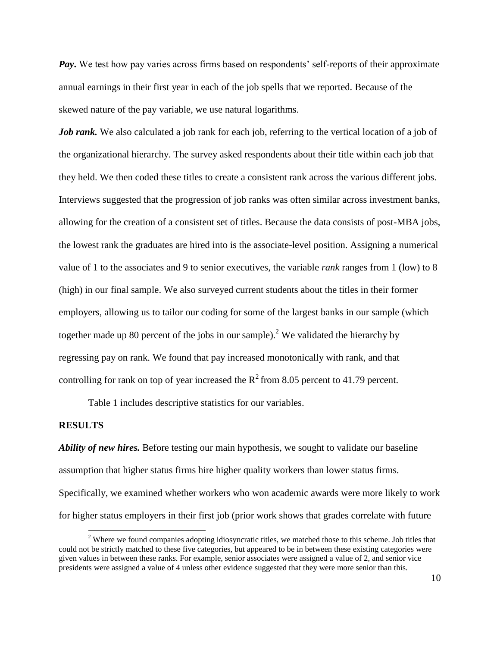*Pay*. We test how pay varies across firms based on respondents' self-reports of their approximate annual earnings in their first year in each of the job spells that we reported. Because of the skewed nature of the pay variable, we use natural logarithms.

*Job rank*. We also calculated a job rank for each job, referring to the vertical location of a job of the organizational hierarchy. The survey asked respondents about their title within each job that they held. We then coded these titles to create a consistent rank across the various different jobs. Interviews suggested that the progression of job ranks was often similar across investment banks, allowing for the creation of a consistent set of titles. Because the data consists of post-MBA jobs, the lowest rank the graduates are hired into is the associate-level position. Assigning a numerical value of 1 to the associates and 9 to senior executives, the variable *rank* ranges from 1 (low) to 8 (high) in our final sample. We also surveyed current students about the titles in their former employers, allowing us to tailor our coding for some of the largest banks in our sample (which together made up 80 percent of the jobs in our sample).<sup>2</sup> We validated the hierarchy by regressing pay on rank. We found that pay increased monotonically with rank, and that controlling for rank on top of year increased the  $R^2$  from 8.05 percent to 41.79 percent.

Table 1 includes descriptive statistics for our variables.

### **RESULTS**

 $\overline{a}$ 

*Ability of new hires.* Before testing our main hypothesis, we sought to validate our baseline assumption that higher status firms hire higher quality workers than lower status firms. Specifically, we examined whether workers who won academic awards were more likely to work for higher status employers in their first job (prior work shows that grades correlate with future

<sup>&</sup>lt;sup>2</sup> Where we found companies adopting idiosyncratic titles, we matched those to this scheme. Job titles that could not be strictly matched to these five categories, but appeared to be in between these existing categories were given values in between these ranks. For example, senior associates were assigned a value of 2, and senior vice presidents were assigned a value of 4 unless other evidence suggested that they were more senior than this.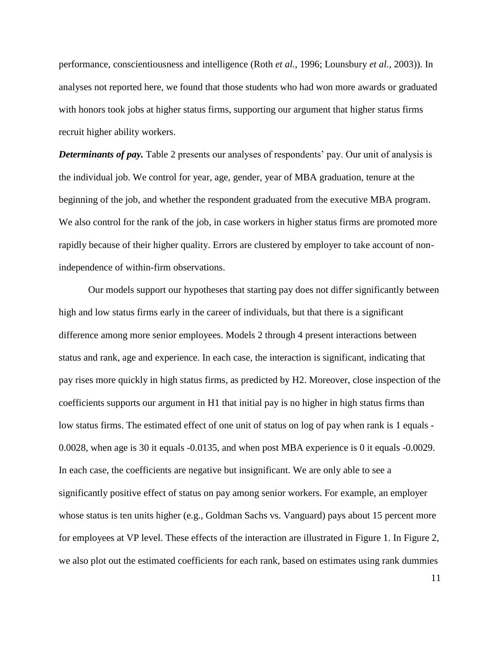performance, conscientiousness and intelligence (Roth *et al.*, 1996; Lounsbury *et al.*, 2003)). In analyses not reported here, we found that those students who had won more awards or graduated with honors took jobs at higher status firms, supporting our argument that higher status firms recruit higher ability workers.

*Determinants of pay.* Table 2 presents our analyses of respondents' pay. Our unit of analysis is the individual job. We control for year, age, gender, year of MBA graduation, tenure at the beginning of the job, and whether the respondent graduated from the executive MBA program. We also control for the rank of the job, in case workers in higher status firms are promoted more rapidly because of their higher quality. Errors are clustered by employer to take account of nonindependence of within-firm observations.

Our models support our hypotheses that starting pay does not differ significantly between high and low status firms early in the career of individuals, but that there is a significant difference among more senior employees. Models 2 through 4 present interactions between status and rank, age and experience. In each case, the interaction is significant, indicating that pay rises more quickly in high status firms, as predicted by H2. Moreover, close inspection of the coefficients supports our argument in H1 that initial pay is no higher in high status firms than low status firms. The estimated effect of one unit of status on log of pay when rank is 1 equals - 0.0028, when age is 30 it equals -0.0135, and when post MBA experience is 0 it equals -0.0029. In each case, the coefficients are negative but insignificant. We are only able to see a significantly positive effect of status on pay among senior workers. For example, an employer whose status is ten units higher (e.g., Goldman Sachs vs. Vanguard) pays about 15 percent more for employees at VP level. These effects of the interaction are illustrated in Figure 1. In Figure 2, we also plot out the estimated coefficients for each rank, based on estimates using rank dummies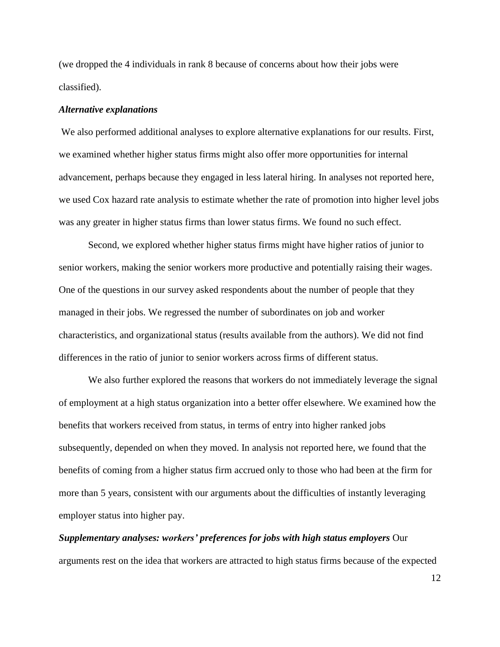(we dropped the 4 individuals in rank 8 because of concerns about how their jobs were classified).

#### *Alternative explanations*

We also performed additional analyses to explore alternative explanations for our results. First, we examined whether higher status firms might also offer more opportunities for internal advancement, perhaps because they engaged in less lateral hiring. In analyses not reported here, we used Cox hazard rate analysis to estimate whether the rate of promotion into higher level jobs was any greater in higher status firms than lower status firms. We found no such effect.

Second, we explored whether higher status firms might have higher ratios of junior to senior workers, making the senior workers more productive and potentially raising their wages. One of the questions in our survey asked respondents about the number of people that they managed in their jobs. We regressed the number of subordinates on job and worker characteristics, and organizational status (results available from the authors). We did not find differences in the ratio of junior to senior workers across firms of different status.

We also further explored the reasons that workers do not immediately leverage the signal of employment at a high status organization into a better offer elsewhere. We examined how the benefits that workers received from status, in terms of entry into higher ranked jobs subsequently, depended on when they moved. In analysis not reported here, we found that the benefits of coming from a higher status firm accrued only to those who had been at the firm for more than 5 years, consistent with our arguments about the difficulties of instantly leveraging employer status into higher pay.

*Supplementary analyses: workers' preferences for jobs with high status employers* Our arguments rest on the idea that workers are attracted to high status firms because of the expected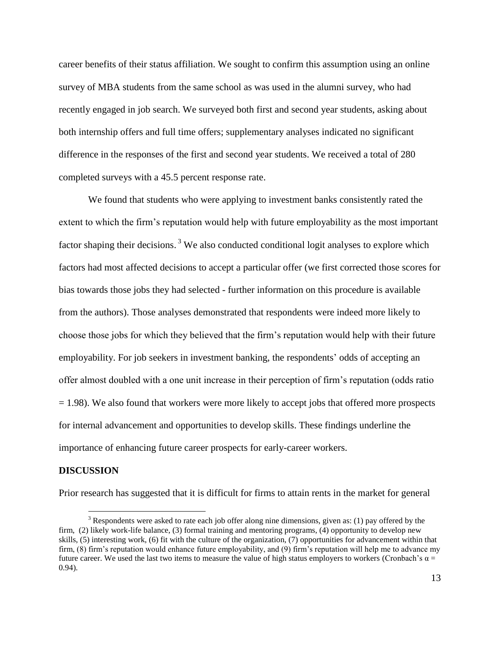career benefits of their status affiliation. We sought to confirm this assumption using an online survey of MBA students from the same school as was used in the alumni survey, who had recently engaged in job search. We surveyed both first and second year students, asking about both internship offers and full time offers; supplementary analyses indicated no significant difference in the responses of the first and second year students. We received a total of 280 completed surveys with a 45.5 percent response rate.

We found that students who were applying to investment banks consistently rated the extent to which the firm's reputation would help with future employability as the most important factor shaping their decisions.<sup>3</sup> We also conducted conditional logit analyses to explore which factors had most affected decisions to accept a particular offer (we first corrected those scores for bias towards those jobs they had selected - further information on this procedure is available from the authors). Those analyses demonstrated that respondents were indeed more likely to choose those jobs for which they believed that the firm's reputation would help with their future employability. For job seekers in investment banking, the respondents' odds of accepting an offer almost doubled with a one unit increase in their perception of firm's reputation (odds ratio  $= 1.98$ ). We also found that workers were more likely to accept jobs that offered more prospects for internal advancement and opportunities to develop skills. These findings underline the importance of enhancing future career prospects for early-career workers.

#### **DISCUSSION**

 $\overline{a}$ 

Prior research has suggested that it is difficult for firms to attain rents in the market for general

 $3$  Respondents were asked to rate each job offer along nine dimensions, given as: (1) pay offered by the firm, (2) likely work-life balance, (3) formal training and mentoring programs, (4) opportunity to develop new skills, (5) interesting work, (6) fit with the culture of the organization, (7) opportunities for advancement within that firm, (8) firm's reputation would enhance future employability, and (9) firm's reputation will help me to advance my future career. We used the last two items to measure the value of high status employers to workers (Cronbach's  $\alpha$  = 0.94).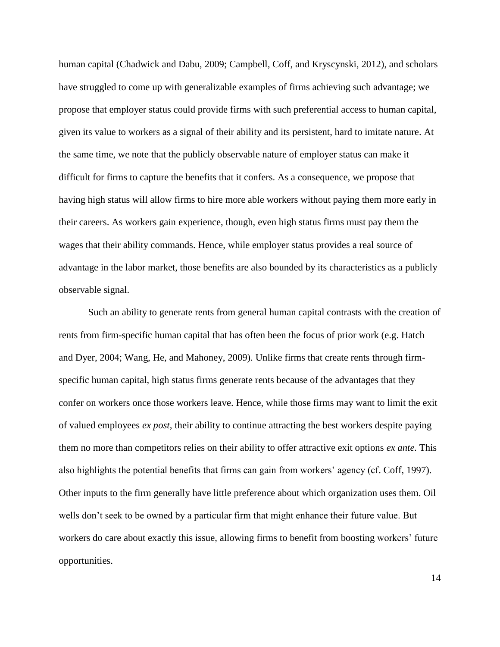human capital (Chadwick and Dabu, 2009; Campbell, Coff, and Kryscynski, 2012), and scholars have struggled to come up with generalizable examples of firms achieving such advantage; we propose that employer status could provide firms with such preferential access to human capital, given its value to workers as a signal of their ability and its persistent, hard to imitate nature. At the same time, we note that the publicly observable nature of employer status can make it difficult for firms to capture the benefits that it confers. As a consequence, we propose that having high status will allow firms to hire more able workers without paying them more early in their careers. As workers gain experience, though, even high status firms must pay them the wages that their ability commands. Hence, while employer status provides a real source of advantage in the labor market, those benefits are also bounded by its characteristics as a publicly observable signal.

Such an ability to generate rents from general human capital contrasts with the creation of rents from firm-specific human capital that has often been the focus of prior work (e.g. Hatch and Dyer, 2004; Wang, He, and Mahoney, 2009). Unlike firms that create rents through firmspecific human capital, high status firms generate rents because of the advantages that they confer on workers once those workers leave. Hence, while those firms may want to limit the exit of valued employees *ex post*, their ability to continue attracting the best workers despite paying them no more than competitors relies on their ability to offer attractive exit options *ex ante.* This also highlights the potential benefits that firms can gain from workers' agency (cf. Coff, 1997). Other inputs to the firm generally have little preference about which organization uses them. Oil wells don't seek to be owned by a particular firm that might enhance their future value. But workers do care about exactly this issue, allowing firms to benefit from boosting workers' future opportunities.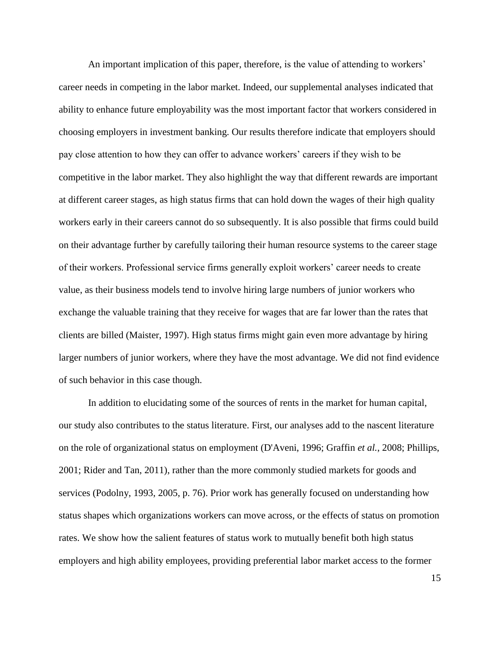An important implication of this paper, therefore, is the value of attending to workers' career needs in competing in the labor market. Indeed, our supplemental analyses indicated that ability to enhance future employability was the most important factor that workers considered in choosing employers in investment banking. Our results therefore indicate that employers should pay close attention to how they can offer to advance workers' careers if they wish to be competitive in the labor market. They also highlight the way that different rewards are important at different career stages, as high status firms that can hold down the wages of their high quality workers early in their careers cannot do so subsequently. It is also possible that firms could build on their advantage further by carefully tailoring their human resource systems to the career stage of their workers. Professional service firms generally exploit workers' career needs to create value, as their business models tend to involve hiring large numbers of junior workers who exchange the valuable training that they receive for wages that are far lower than the rates that clients are billed (Maister, 1997). High status firms might gain even more advantage by hiring larger numbers of junior workers, where they have the most advantage. We did not find evidence of such behavior in this case though.

In addition to elucidating some of the sources of rents in the market for human capital, our study also contributes to the status literature. First, our analyses add to the nascent literature on the role of organizational status on employment (D'Aveni, 1996; Graffin *et al.*, 2008; Phillips, 2001; Rider and Tan, 2011), rather than the more commonly studied markets for goods and services (Podolny, 1993, 2005, p. 76). Prior work has generally focused on understanding how status shapes which organizations workers can move across, or the effects of status on promotion rates. We show how the salient features of status work to mutually benefit both high status employers and high ability employees, providing preferential labor market access to the former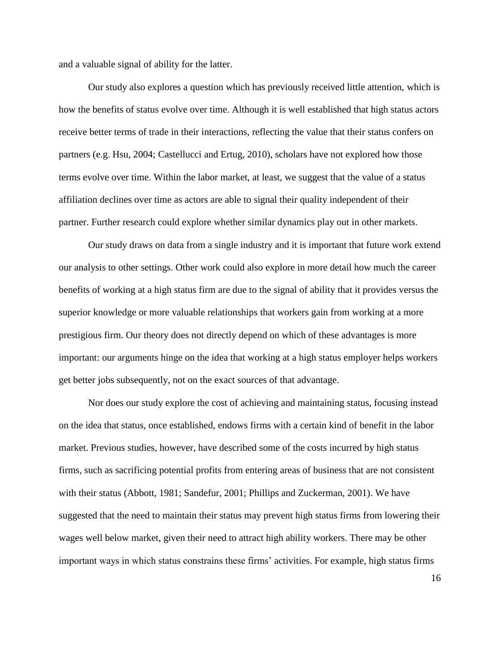and a valuable signal of ability for the latter.

Our study also explores a question which has previously received little attention, which is how the benefits of status evolve over time. Although it is well established that high status actors receive better terms of trade in their interactions, reflecting the value that their status confers on partners (e.g. Hsu, 2004; Castellucci and Ertug, 2010), scholars have not explored how those terms evolve over time. Within the labor market, at least, we suggest that the value of a status affiliation declines over time as actors are able to signal their quality independent of their partner. Further research could explore whether similar dynamics play out in other markets.

Our study draws on data from a single industry and it is important that future work extend our analysis to other settings. Other work could also explore in more detail how much the career benefits of working at a high status firm are due to the signal of ability that it provides versus the superior knowledge or more valuable relationships that workers gain from working at a more prestigious firm. Our theory does not directly depend on which of these advantages is more important: our arguments hinge on the idea that working at a high status employer helps workers get better jobs subsequently, not on the exact sources of that advantage.

Nor does our study explore the cost of achieving and maintaining status, focusing instead on the idea that status, once established, endows firms with a certain kind of benefit in the labor market. Previous studies, however, have described some of the costs incurred by high status firms, such as sacrificing potential profits from entering areas of business that are not consistent with their status (Abbott, 1981; Sandefur, 2001; Phillips and Zuckerman, 2001). We have suggested that the need to maintain their status may prevent high status firms from lowering their wages well below market, given their need to attract high ability workers. There may be other important ways in which status constrains these firms' activities. For example, high status firms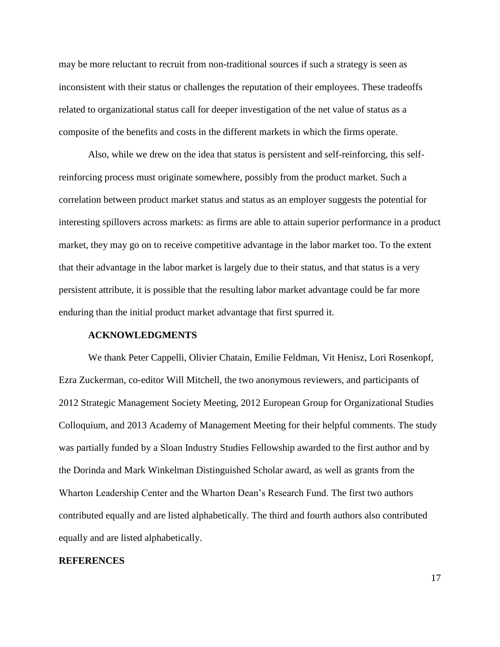may be more reluctant to recruit from non-traditional sources if such a strategy is seen as inconsistent with their status or challenges the reputation of their employees. These tradeoffs related to organizational status call for deeper investigation of the net value of status as a composite of the benefits and costs in the different markets in which the firms operate.

Also, while we drew on the idea that status is persistent and self-reinforcing, this selfreinforcing process must originate somewhere, possibly from the product market. Such a correlation between product market status and status as an employer suggests the potential for interesting spillovers across markets: as firms are able to attain superior performance in a product market, they may go on to receive competitive advantage in the labor market too. To the extent that their advantage in the labor market is largely due to their status, and that status is a very persistent attribute, it is possible that the resulting labor market advantage could be far more enduring than the initial product market advantage that first spurred it.

### **ACKNOWLEDGMENTS**

We thank Peter Cappelli, Olivier Chatain, Emilie Feldman, Vit Henisz, Lori Rosenkopf, Ezra Zuckerman, co-editor Will Mitchell, the two anonymous reviewers, and participants of 2012 Strategic Management Society Meeting, 2012 European Group for Organizational Studies Colloquium, and 2013 Academy of Management Meeting for their helpful comments. The study was partially funded by a Sloan Industry Studies Fellowship awarded to the first author and by the Dorinda and Mark Winkelman Distinguished Scholar award, as well as grants from the Wharton Leadership Center and the Wharton Dean's Research Fund. The first two authors contributed equally and are listed alphabetically. The third and fourth authors also contributed equally and are listed alphabetically.

## **REFERENCES**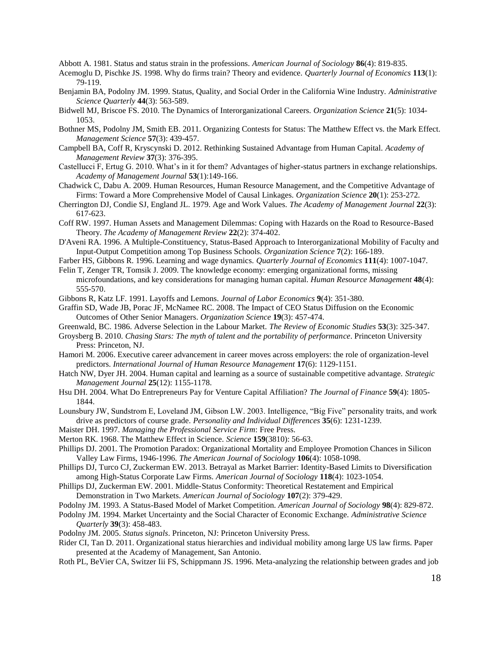Abbott A. 1981. Status and status strain in the professions. *American Journal of Sociology* **86**(4): 819-835.

- Acemoglu D, Pischke JS. 1998. Why do firms train? Theory and evidence. *Quarterly Journal of Economics* **113**(1): 79-119.
- Benjamin BA, Podolny JM. 1999. Status, Quality, and Social Order in the California Wine Industry. *Administrative Science Quarterly* **44**(3): 563-589.
- Bidwell MJ, Briscoe FS. 2010. The Dynamics of Interorganizational Careers. *Organization Science* **21**(5): 1034- 1053.
- Bothner MS, Podolny JM, Smith EB. 2011. Organizing Contests for Status: The Matthew Effect vs. the Mark Effect. *Management Science* **57**(3): 439-457.
- Campbell BA, Coff R, Kryscynski D. 2012. Rethinking Sustained Advantage from Human Capital. *Academy of Management Review* **37**(3): 376-395.
- Castellucci F, Ertug G. 2010. What's in it for them? Advantages of higher-status partners in exchange relationships. *Academy of Management Journal* **53**(1):149-166.
- Chadwick C, Dabu A. 2009. Human Resources, Human Resource Management, and the Competitive Advantage of Firms: Toward a More Comprehensive Model of Causal Linkages. *Organization Science* **20**(1): 253-272.
- Cherrington DJ, Condie SJ, England JL. 1979. Age and Work Values. *The Academy of Management Journal* **22**(3): 617-623.
- Coff RW. 1997. Human Assets and Management Dilemmas: Coping with Hazards on the Road to Resource-Based Theory. *The Academy of Management Review* **22**(2): 374-402.
- D'Aveni RA. 1996. A Multiple-Constituency, Status-Based Approach to Interorganizational Mobility of Faculty and Input-Output Competition among Top Business Schools. *Organization Science* **7**(2): 166-189.
- Farber HS, Gibbons R. 1996. Learning and wage dynamics. *Quarterly Journal of Economics* **111**(4): 1007-1047.

Felin T, Zenger TR, Tomsik J. 2009. The knowledge economy: emerging organizational forms, missing microfoundations, and key considerations for managing human capital. *Human Resource Management* **48**(4): 555-570.

- Gibbons R, Katz LF. 1991. Layoffs and Lemons. *Journal of Labor Economics* **9**(4): 351-380.
- Graffin SD, Wade JB, Porac JF, McNamee RC. 2008. The Impact of CEO Status Diffusion on the Economic Outcomes of Other Senior Managers. *Organization Science* **19**(3): 457-474.
- Greenwald, BC. 1986. Adverse Selection in the Labour Market. *The Review of Economic Studies* **53**(3): 325-347.
- Groysberg B. 2010. *Chasing Stars: The myth of talent and the portability of performance*. Princeton University Press: Princeton, NJ.
- Hamori M. 2006. Executive career advancement in career moves across employers: the role of organization-level predictors. *International Journal of Human Resource Management* **17**(6): 1129-1151.
- Hatch NW, Dyer JH. 2004. Human capital and learning as a source of sustainable competitive advantage. *Strategic Management Journal* **25**(12): 1155-1178.
- Hsu DH. 2004. What Do Entrepreneurs Pay for Venture Capital Affiliation? *The Journal of Finance* **59**(4): 1805- 1844.

Lounsbury JW, Sundstrom E, Loveland JM, Gibson LW. 2003. Intelligence, "Big Five" personality traits, and work drive as predictors of course grade. *Personality and Individual Differences* **35**(6): 1231-1239.

- Maister DH. 1997. *Managing the Professional Service Firm*: Free Press.
- Merton RK. 1968. The Matthew Effect in Science. *Science* **159**(3810): 56-63.
- Phillips DJ. 2001. The Promotion Paradox: Organizational Mortality and Employee Promotion Chances in Silicon Valley Law Firms, 1946-1996. *The American Journal of Sociology* **106**(4): 1058-1098.
- Phillips DJ, Turco CJ, Zuckerman EW. 2013. Betrayal as Market Barrier: Identity-Based Limits to Diversification among High-Status Corporate Law Firms. *American Journal of Sociology* **118**(4): 1023-1054.
- Phillips DJ, Zuckerman EW. 2001. Middle‐Status Conformity: Theoretical Restatement and Empirical Demonstration in Two Markets. *American Journal of Sociology* **107**(2): 379-429.
- Podolny JM. 1993. A Status-Based Model of Market Competition. *American Journal of Sociology* **98**(4): 829-872.
- Podolny JM. 1994. Market Uncertainty and the Social Character of Economic Exchange. *Administrative Science Quarterly* **39**(3): 458-483.
- Podolny JM. 2005. *Status signals*. Princeton, NJ: Princeton University Press.

Rider CI, Tan D. 2011. Organizational status hierarchies and individual mobility among large US law firms. Paper presented at the Academy of Management, San Antonio.

Roth PL, BeVier CA, Switzer Iii FS, Schippmann JS. 1996. Meta-analyzing the relationship between grades and job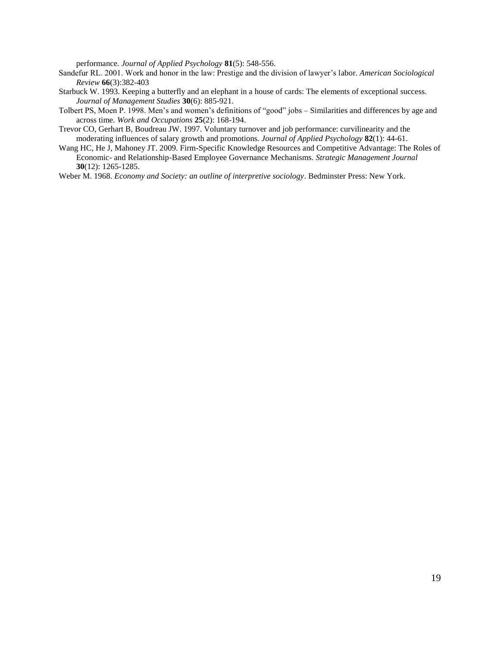performance. *Journal of Applied Psychology* **81**(5): 548-556.

- Sandefur RL. 2001. Work and honor in the law: Prestige and the division of lawyer's labor. *American Sociological Review* **66**(3):382-403
- Starbuck W. 1993. Keeping a butterfly and an elephant in a house of cards: The elements of exceptional success. *Journal of Management Studies* **30**(6): 885-921.
- Tolbert PS, Moen P. 1998. Men's and women's definitions of "good" jobs Similarities and differences by age and across time. *Work and Occupations* **25**(2): 168-194.
- Trevor CO, Gerhart B, Boudreau JW. 1997. Voluntary turnover and job performance: curvilinearity and the moderating influences of salary growth and promotions. *Journal of Applied Psychology* **82**(1): 44-61.
- Wang HC, He J, Mahoney JT. 2009. Firm-Specific Knowledge Resources and Competitive Advantage: The Roles of Economic- and Relationship-Based Employee Governance Mechanisms. *Strategic Management Journal* **30**(12): 1265-1285.

Weber M. 1968. *Economy and Society: an outline of interpretive sociology*. Bedminster Press: New York.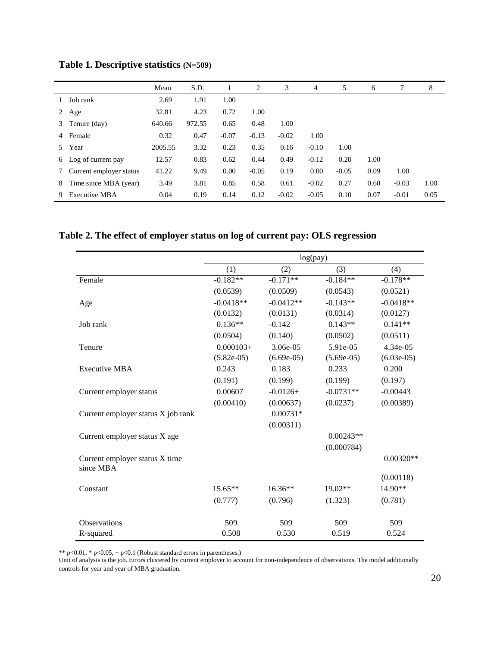|                |                         | Mean    | S.D.   |         | 2       | 3       | 4       | 5       | 6    | 7       | 8    |
|----------------|-------------------------|---------|--------|---------|---------|---------|---------|---------|------|---------|------|
|                | Job rank                | 2.69    | 1.91   | 1.00    |         |         |         |         |      |         |      |
| 2              | Age                     | 32.81   | 4.23   | 0.72    | 1.00    |         |         |         |      |         |      |
| 3              | Tenure (day)            | 640.66  | 972.55 | 0.65    | 0.48    | 1.00    |         |         |      |         |      |
| $\overline{4}$ | Female                  | 0.32    | 0.47   | $-0.07$ | $-0.13$ | $-0.02$ | 1.00    |         |      |         |      |
| 5.             | Year                    | 2005.55 | 3.32   | 0.23    | 0.35    | 0.16    | $-0.10$ | 1.00    |      |         |      |
|                | 6 Log of current pay    | 12.57   | 0.83   | 0.62    | 0.44    | 0.49    | $-0.12$ | 0.20    | 1.00 |         |      |
| 7              | Current employer status | 41.22   | 9.49   | 0.00    | $-0.05$ | 0.19    | 0.00    | $-0.05$ | 0.09 | 1.00    |      |
| 8              | Time since MBA (year)   | 3.49    | 3.81   | 0.85    | 0.58    | 0.61    | $-0.02$ | 0.27    | 0.60 | $-0.03$ | 1.00 |
| 9.             | Executive MBA           | 0.04    | 0.19   | 0.14    | 0.12    | $-0.02$ | $-0.05$ | 0.10    | 0.07 | $-0.01$ | 0.05 |

**Table 1. Descriptive statistics (N=509)**

**Table 2. The effect of employer status on log of current pay: OLS regression**

|                                             | log(pay)     |              |              |              |  |  |  |  |
|---------------------------------------------|--------------|--------------|--------------|--------------|--|--|--|--|
|                                             | (1)          | (2)          | (3)          | (4)          |  |  |  |  |
| Female                                      | $-0.182**$   | $-0.171**$   | $-0.184**$   | $-0.178**$   |  |  |  |  |
|                                             | (0.0539)     | (0.0509)     | (0.0543)     | (0.0521)     |  |  |  |  |
| Age                                         | $-0.0418**$  | $-0.0412**$  | $-0.143**$   | $-0.0418**$  |  |  |  |  |
|                                             | (0.0132)     | (0.0131)     | (0.0314)     | (0.0127)     |  |  |  |  |
| Job rank                                    | $0.136**$    | $-0.142$     | $0.143**$    | $0.141**$    |  |  |  |  |
|                                             | (0.0504)     | (0.140)      | (0.0502)     | (0.0511)     |  |  |  |  |
| Tenure                                      | $0.000103+$  | 3.06e-05     | 5.91e-05     | 4.34e-05     |  |  |  |  |
|                                             | $(5.82e-05)$ | $(6.69e-05)$ | $(5.69e-05)$ | $(6.03e-05)$ |  |  |  |  |
| <b>Executive MBA</b>                        | 0.243        | 0.183        | 0.233        | 0.200        |  |  |  |  |
|                                             | (0.191)      | (0.199)      | (0.199)      | (0.197)      |  |  |  |  |
| Current employer status                     | 0.00607      | $-0.0126+$   | $-0.0731**$  | $-0.00443$   |  |  |  |  |
|                                             | (0.00410)    | (0.00637)    | (0.0237)     | (0.00389)    |  |  |  |  |
| Current employer status X job rank          |              | $0.00731*$   |              |              |  |  |  |  |
|                                             |              | (0.00311)    |              |              |  |  |  |  |
| Current employer status X age               |              |              | $0.00243**$  |              |  |  |  |  |
|                                             |              |              | (0.000784)   |              |  |  |  |  |
| Current employer status X time<br>since MBA |              |              |              | $0.00320**$  |  |  |  |  |
|                                             |              |              |              | (0.00118)    |  |  |  |  |
| Constant                                    | $15.65**$    | $16.36**$    | 19.02**      | 14.90**      |  |  |  |  |
|                                             | (0.777)      | (0.796)      | (1.323)      | (0.781)      |  |  |  |  |
| <b>Observations</b>                         | 509          | 509          | 509          | 509          |  |  |  |  |
| R-squared                                   | 0.508        | 0.530        | 0.519        | 0.524        |  |  |  |  |

\*\*  $p<0.01$ , \*  $p<0.05$ , +  $p<0.1$  (Robust standard errors in parentheses.)

Unit of analysis is the job. Errors clustered by current employer to account for non-independence of observations. The model additionally controls for year and year of MBA graduation.